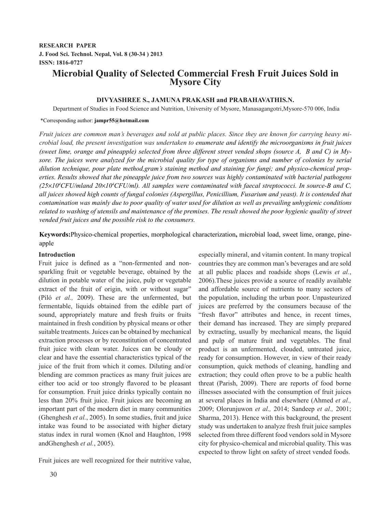## **RESEARCH PAPER J. Food Sci. Technol. Nepal, Vol. 8 (30-34 ) 2013 ISSN: 1816-0727**

# **Microbial Quality of Selected Commercial Fresh Fruit Juices Sold in Mysore City**

## **DIVYASHREE S., JAMUNA PRAKASH and PRABAHAVATHIS.N.**

Department of Studies in Food Science and Nutrition, University of Mysore, Manasagangotri,Mysore-570 006, India

#### \*Corresponding author: **jampr55@hotmail.com**

*Fruit juices are common man's beverages and sold at public places. Since they are known for carrying heavy microbial load, the present investigation was undertaken to enumerate and identify the microorganisms in fruit juices (sweet lime, orange and pineapple) selected from three different street vended shops (source A, B and C) in My*sore. The juices were analyzed for the microbial quality for type of organisms and number of colonies by serial *dilution technique, pour plate method,gram's staining method and staining for fungi; and physico-chemical properties. Results showed that the pineapple juice from two sources was highly contaminated with bacterial pathogens*   $(25\times10^4$ CFU/mland  $20\times10^4$ CFU/ml). All samples were contaminated with faecal streptococci. In source-B and C, *all juices showed high counts of fungal colonies (Aspergillus, Penicillium, Fusarium and yeast). It is contended that contamination was mainly due to poor quality of water used for dilution as well as prevailing unhygienic conditions related to washing of utensils and maintenance of the premises. The result showed the poor hygienic quality of street vended fruit juices and the possible risk to the consumers.* 

**Keywords:**Physico-chemical properties, morphological characterization**,** microbial load, sweet lime, orange, pineapple

#### **Introduction**

Fruit juice is defined as a "non-fermented and nonsparkling fruit or vegetable beverage, obtained by the dilution in potable water of the juice, pulp or vegetable extract of the fruit of origin, with or without sugar" (Piló *et al.,* 2009). These are the unfermented, but fermentable, liquids obtained from the edible part of sound, appropriately mature and fresh fruits or fruits maintained in fresh condition by physical means or other suitable treatments. Juices can be obtained by mechanical extraction processes or by reconstitution of concentrated fruit juice with clean water. Juices can be cloudy or clear and have the essential characteristics typical of the juice of the fruit from which it comes. Diluting and/or blending are common practices as many fruit juices are either too acid or too strongly flavored to be pleasant for consumption. Fruit juice drinks typically contain no less than 20% fruit juice. Fruit juices are becoming an important part of the modern diet in many communities (Ghenghesh *et al.*, 2005). In some studies, fruit and juice intake was found to be associated with higher dietary status index in rural women (Knol and Haughton, 1998 andGhenghesh *et al.*, 2005).

Fruit juices are well recognized for their nutritive value,

especially mineral, and vitamin content. In many tropical countries they are common man's beverages and are sold at all public places and roadside shops (Lewis *et al.*, 2006).These juices provide a source of readily available and affordable source of nutrients to many sectors of the population, including the urban poor. Unpasteurized juices are preferred by the consumers because of the "fresh flavor" attributes and hence, in recent times, their demand has increased. They are simply prepared by extracting, usually by mechanical means, the liquid and pulp of mature fruit and vegetables. The final product is an unfermented, clouded, untreated juice, ready for consumption. However, in view of their ready consumption, quick methods of cleaning, handling and extraction; they could often prove to be a public health threat (Parish, 2009). There are reports of food borne illnesses associated with the consumption of fruit juices at several places in India and elsewhere (Ahmed *et al.,* 2009; Olorunjuwon *et al.,* 2014; Sandeep *et al.,* 2001; Sharma, 2013). Hence with this background, the present study was undertaken to analyze fresh fruit juice samples selected from three different food vendors sold in Mysore city for physico-chemical and microbial quality. This was expected to throw light on safety of street vended foods.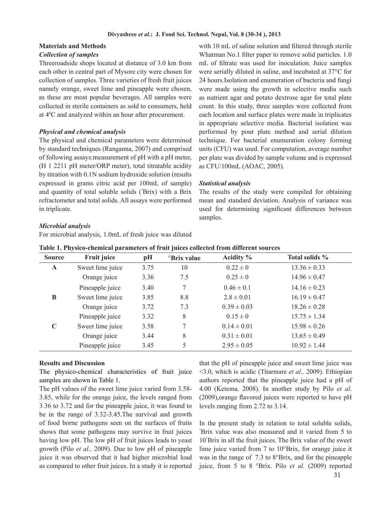#### **Materials and Methods**

### *Collection of samples*

Threeroadside shops located at distance of 3.0 km from each other in central part of Mysore city were chosen for collection of samples. Three varieties of fresh fruit juices namely orange, sweet lime and pineapple were chosen, as these are most popular beverages. All samples were collected in sterile containers as sold to consumers, held at 40 C and analyzed within an hour after procurement.

#### *Physical and chemical analysis*

The physical and chemical parameters were determined by standard techniques (Ranganna, 2007) and comprised of following assays:measurement of pH with a pH meter, (H 1 2211 pH meter/ORP meter), total titratable acidity by titration with 0.1N sodium hydroxide solution (results expressed in grams citric acid per 100mL of sample) and quantity of total soluble solids (° Brix) with a Brix refractometer and total solids. All assays were performed in triplicate.

with 10 mL of saline solution and filtered through sterile Whatman No.1 filter paper to remove solid particles. 1.0 mL of filtrate was used for inoculation. Juice samples were serially diluted in saline, and incubated at 37°C for 24 hours.Isolation and enumeration of bacteria and fungi were made using the growth in selective media such as nutrient agar and potato dextrose agar for total plate count. In this study, three samples were collected from each location and surface plates were made in triplicates in appropriate selective media. Bacterial isolation was performed by pour plate method and serial dilution technique. For bacterial enumeration colony forming units (CFU) was used. For computation, average number per plate was divided by sample volume and is expressed as CFU/100mL (AOAC, 2005).

#### *Statistical analysis*

The results of the study were compiled for obtaining mean and standard deviation. Analysis of variance was used for determining significant differences between samples.

## *Microbial analysis*

For microbial analysis, 1.0mL of fresh juice was diluted

| Table 1, 1 hysico-chemical parameters of fruit fuices concettu from unicrent sources |                    |      |                         |                 |                  |  |  |
|--------------------------------------------------------------------------------------|--------------------|------|-------------------------|-----------------|------------------|--|--|
| <b>Source</b>                                                                        | <b>Fruit juice</b> | pH   | <sup>o</sup> Brix value | Acidity $\%$    | Total solids %   |  |  |
| $\mathbf{A}$                                                                         | Sweet lime juice   | 3.75 | 10                      | $0.22 \pm 0$    | $13.36 \pm 0.33$ |  |  |
|                                                                                      | Orange juice       | 3.36 | 7.5                     | $0.25 \pm 0$    | $14.96 \pm 0.47$ |  |  |
|                                                                                      | Pineapple juice    | 3.40 | 7                       | $0.46 \pm 0.1$  | $14.16 \pm 0.23$ |  |  |
| B                                                                                    | Sweet lime juice   | 3.85 | 8.8                     | $2.8 \pm 0.01$  | $16.19 \pm 0.47$ |  |  |
|                                                                                      | Orange juice       | 3.72 | 7.3                     | $0.39 \pm 0.03$ | $18.26 \pm 0.28$ |  |  |
|                                                                                      | Pineapple juice    | 3.32 | 8                       | $0.15 \pm 0$    | $15.75 \pm 1.34$ |  |  |
| $\mathbf C$                                                                          | Sweet lime juice   | 3.58 | 7                       | $0.14 \pm 0.01$ | $15.98 \pm 0.26$ |  |  |
|                                                                                      | Orange juice       | 3.44 | 8                       | $0.31 \pm 0.01$ | $13.65 \pm 0.49$ |  |  |
|                                                                                      | Pineapple juice    | 3.45 | 5                       | $2.95 \pm 0.05$ | $10.92 \pm 1.44$ |  |  |
|                                                                                      |                    |      |                         |                 |                  |  |  |

#### **Results and Discussion**

The physico-chemical characteristics of fruit juice samples are shown in Table 1.

The pH values of the sweet lime juice varied from 3.58- 3.85, while for the orange juice, the levels ranged from 3.36 to 3.72 and for the pineapple juice, it was found to be in the range of 3.32-3.45.The survival and growth of food borne pathogens seen on the surfaces of fruits shows that some pathogens may survive in fruit juices having low pH. The low pH of fruit juices leads to yeast growth (Pilo *et al.,* 2009). Due to low pH of pineapple juice it was observed that it had higher microbial load as compared to other fruit juices. In a study it is reported that the pH of pineapple juice and sweet lime juice was <3.0, which is acidic (Titarmare *et al.,* 2009). Ethiopian authors reported that the pineapple juice had a pH of 4.00 (Ketema*,* 2008). In another study by Pilo *et al*. (2009),orange flavored juices were reported to have pH levels ranging from 2.72 to 3.14.

In the present study in relation to total soluble solids, ° Brix value was also measured and it varied from 5 to 10° Brix in all the fruit juices. The Brix value of the sweet lime juice varied from 7 to 10°Brix, for orange juice it was in the range of 7.3 to 8°Brix, and for the pineapple juice, from 5 to 8 °Brix. Pilo *et al.* (2009) reported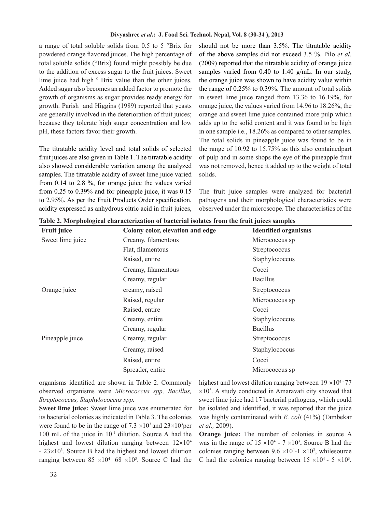a range of total soluble solids from 0.5 to 5 °Brix for powdered orange flavored juices. The high percentage of total soluble solids (°Brix) found might possibly be due to the addition of excess sugar to the fruit juices. Sweet lime juice had high  $\theta$  Brix value than the other juices. Added sugar also becomes an added factor to promote the growth of organisms as sugar provides ready energy for growth. Parish and Higgins (1989) reported that yeasts are generally involved in the deterioration of fruit juices; because they tolerate high sugar concentration and low pH, these factors favor their growth.

The titratable acidity level and total solids of selected fruit juices are also given in Table 1. The titratable acidity also showed considerable variation among the analyzed samples. The titratable acidity of sweet lime juice varied from 0.14 to 2.8 %, for orange juice the values varied from 0.25 to 0.39% and for pineapple juice, it was 0.15 to 2.95%. As per the Fruit Products Order specification, acidity expressed as anhydrous citric acid in fruit juices, should not be more than 3.5%. The titratable acidity of the above samples did not exceed 3.5 %. Pilo *et al.* (2009) reported that the titratable acidity of orange juice samples varied from 0.40 to 1.40 g/mL. In our study, the orange juice was shown to have acidity value within the range of 0.25% to 0.39%. The amount of total solids in sweet lime juice ranged from 13.36 to 16.19%, for orange juice, the values varied from 14.96 to 18.26%, the orange and sweet lime juice contained more pulp which adds up to the solid content and it was found to be high in one sample i.e., 18.26% as compared to other samples. The total solids in pineapple juice was found to be in the range of 10.92 to 15.75% as this also containedpart of pulp and in some shops the eye of the pineapple fruit was not removed, hence it added up to the weight of total solids.

The fruit juice samples were analyzed for bacterial pathogens and their morphological characteristics were observed under the microscope. The characteristics of the

| <b>Fruit juice</b> | Colony color, elevation and edge | <b>Identified organisms</b> |  |
|--------------------|----------------------------------|-----------------------------|--|
| Sweet lime juice   | Creamy, filamentous              | Micrococcus sp              |  |
|                    | Flat, filamentous                | Streptococcus               |  |
|                    | Raised, entire                   | Staphylococcus              |  |
|                    | Creamy, filamentous              | Cocci                       |  |
|                    | Creamy, regular                  | <b>Bacillus</b>             |  |
| Orange juice       | creamy, raised                   | Streptococcus               |  |
|                    | Raised, regular                  | Micrococcus sp              |  |
|                    | Raised, entire                   | Cocci                       |  |
|                    | Creamy, entire                   | Staphylococcus              |  |
|                    | Creamy, regular                  | <b>Bacillus</b>             |  |
| Pineapple juice    | Creamy, regular                  | Streptococcus               |  |
|                    | Creamy, raised                   | Staphylococcus              |  |
|                    | Raised, entire                   | Cocci                       |  |
|                    | Spreader, entire                 | Micrococcus sp              |  |

**Table 2. Morphological characterization of bacterial isolates from the fruit juices samples**

organisms identified are shown in Table 2. Commonly observed organisms were *Micrococcus spp, Bacillus, Streptococcus, Staphylococcus spp.*

**Sweet lime juice:** Sweet lime juice was enumerated for its bacterial colonies as indicated in Table 3. The colonies were found to be in the range of  $7.3 \times 10^3$  and  $23 \times 10^3$  per 100 mL of the juice in 10-1 dilution. Source A had the highest and lowest dilution ranging between  $12\times10^4$  $-23\times10^3$ . Source B had the highest and lowest dilution ranging between  $85 \times 10^{4}$  68  $\times 10^{3}$ . Source C had the highest and lowest dilution ranging between  $19 \times 10^{4}$  - 77  $\times 10<sup>3</sup>$ . A study conducted in Amaravati city showed that sweet lime juice had 17 bacterial pathogens, which could be isolated and identified, it was reported that the juice was highly contaminated with *E. coli* (41%) (Tambekar *et al.,* 2009).

**Orange juice:** The number of colonies in source A was in the range of  $15 \times 10^4$  -  $7 \times 10^3$ . Source B had the colonies ranging between  $9.6 \times 10^{4}$ -1  $\times 10^{3}$ , whilesource C had the colonies ranging between  $15 \times 10^4$  -  $5 \times 10^3$ .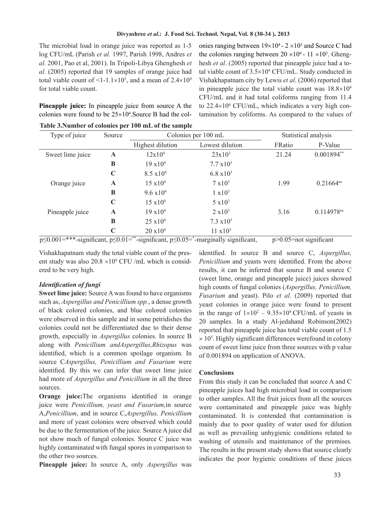The microbial load in orange juice was reported as 1-5 log CFU/mL (Parish *et al.* 1997, Parish 1998, Andres *et al.* 2001, Pao et al, 2001). In Tripoli-Libya Ghenghesh *et al.* (2005) reported that 19 samples of orange juice had total viable count of  $\leq 1$ -1.1 $\times$ 10<sup>5</sup>, and a mean of 2.4 $\times$ 10<sup>4</sup> for total viable count.

**Pineapple juice:** In pineapple juice from source A the colonies were found to be  $25 \times 10^4$ . Source B had the col-

onies ranging between  $19 \times 10^4$  -  $2 \times 10^3$  and Source C had the colonies ranging between  $20 \times 10^4$  -  $11 \times 10^3$ . Ghenghesh *et al.* (2005) reported that pineapple juice had a total viable count of 3.5×104 CFU/mL. Study conducted in Vishakhapatnam city by Lewis *et al*. (2006) reported that in pineapple juice the total viable count was  $18.8\times10^4$ CFU/mL and it had total coliforms ranging from 11.4 to 22.4×104 CFU/mL, which indicates a very high contamination by coliforms. As compared to the values of

| Type of juice    |              |                     | Colonies per 100 mL | Statistical analysis |                |
|------------------|--------------|---------------------|---------------------|----------------------|----------------|
|                  |              | Highest dilution    | Lowest dilution     | FRatio               | P-Value        |
| Sweet lime juice | $\mathbf{A}$ |                     | $23x10^3$           | 21.24                | $0.001894**$   |
|                  | B            | $19 \times 10^{4}$  | $7.7 \times 10^3$   |                      |                |
|                  | $\mathbf C$  | $8.5 \times 10^{4}$ | $6.8 \times 10^3$   |                      |                |
| Orange juice     | $\mathbf{A}$ | $15 \times 10^{4}$  | $7 \times 10^3$     | 1.99                 | $0.21664^{ns}$ |
|                  | B            | $9.6 \times 10^{4}$ | $1 x 10^3$          |                      |                |
|                  | $\mathbf C$  | $15 \times 10^4$    | $5 \times 10^3$     |                      |                |
| Pineapple juice  | $\mathbf{A}$ | $19 \times 10^{4}$  | $2 \times 10^3$     | 3.16                 | 0.114978ns     |
|                  | B            | $25 \times 10^4$    | $7.3 \times 10^3$   |                      |                |
|                  | $\mathbf C$  | $20 \times 10^{4}$  | $11 \times 10^3$    |                      |                |

**Table 3.Number of colonies per 100 mL of the sample**

p≤0.001=\*\*\*-significant, p≤0.01=\*\*-significant, p≤0.05=\*-marginally significant, p>0.05=not significant

Vishakhapatnam study the total viable count of the present study was also  $20.8 \times 10^4$  CFU /mL which is considered to be very high.

## *Identification of fungi*

**Sweet lime juice:** Source A was found to have organisms such as, *Aspergillus and Penicillium spp.*, a dense growth of black colored colonies, and blue colored colonies were observed in this sample and in some petridishes the colonies could not be differentiated due to their dense growth, especially in *Aspergillus* colonies. In source B along with *Penicillium andAspergillus,Rhizopus* was identified, which is a common spoilage organism. In source C*Aspergillus, Penicillium and Fusarium* were identified. By this we can infer that sweet lime juice had more of *Aspergillus and Penicillium* in all the three sources.

**Orange juice:**The organisms identified in orange juice were *Penicillium, yeast and Fusarium,*in source A,*Penicillium*, and in source C,*Aspergillus, Penicillium* and more of yeast colonies were observed which could be due to the fermentation of the juice. Source A juice did not show much of fungal colonies. Source C juice was highly contaminated with fungal spores in comparison to the other two sources.

**Pineapple juice:** In source A, only *Aspergillus* was

identified. In source B and source C, *Aspergillus, Penicillium* and yeasts were identified. From the above results, it can be inferred that source B and source C (sweet lime, orange and pineapple juice) juices showed high counts of fungal colonies (*Aspergillus, Penicillium, Fusarium* and yeast). Pilo *et al*. (2009) reported that yeast colonies in orange juice were found to present in the range of  $1 \times 10^2 - 9.35 \times 10^4$  CFU/mL of yeasts in 20 samples. In a study Al-jedahand Robinson(2002) reported that pineapple juice has total viable count of 1.5  $\times$  10<sup>5</sup>. Highly significant differences werefound in colony count of sweet lime juice from three sources with p value of 0.001894 on application of ANOVA.

## **Conclusions**

From this study it can be concluded that source A and C pineapple juices had high microbial load in comparison to other samples. All the fruit juices from all the sources were contaminated and pineapple juice was highly contaminated. It is contended that contamination is mainly due to poor quality of water used for dilution as well as prevailing unhygienic conditions related to washing of utensils and maintenance of the premises. The results in the present study shows that source clearly indicates the poor hygienic conditions of these juices